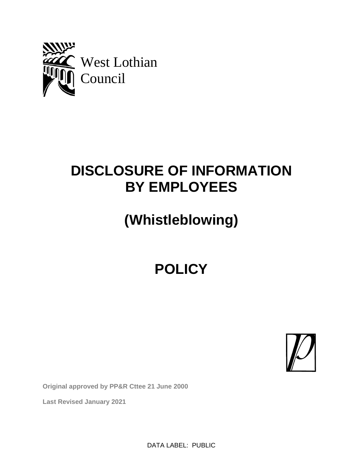

## **DISCLOSURE OF INFORMATION BY EMPLOYEES**

# **(Whistleblowing)**

## **POLICY**



**Original approved by PP&R Cttee 21 June 2000**

**Last Revised January 2021**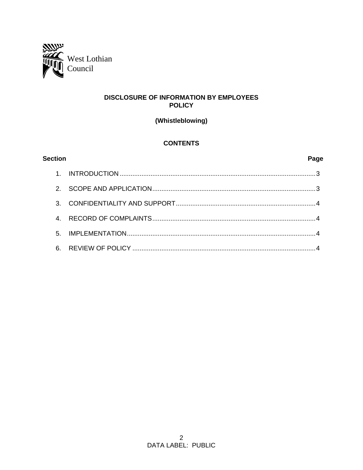

## **DISCLOSURE OF INFORMATION BY EMPLOYEES POLICY**

(Whistleblowing)

## **CONTENTS**

| <b>Section</b> | Page |
|----------------|------|
|                |      |
| $2^{\circ}$    |      |
| $\mathcal{R}$  |      |
|                |      |
| 5 <sub>1</sub> |      |
| 6              |      |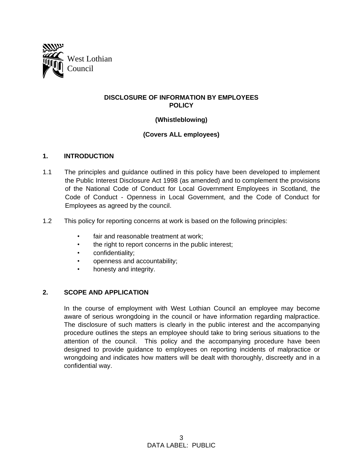

### **DISCLOSURE OF INFORMATION BY EMPLOYEES POLICY**

### **(Whistleblowing)**

## **(Covers ALL employees)**

#### **1. INTRODUCTION**

- 1.1 The principles and guidance outlined in this policy have been developed to implement the Public Interest Disclosure Act 1998 (as amended) and to complement the provisions of the National Code of Conduct for Local Government Employees in Scotland, the Code of Conduct - Openness in Local Government, and the Code of Conduct for Employees as agreed by the council.
- 1.2 This policy for reporting concerns at work is based on the following principles:
	- fair and reasonable treatment at work;
	- the right to report concerns in the public interest;
	- confidentiality;
	- openness and accountability;
	- honesty and integrity.

### **2. SCOPE AND APPLICATION**

In the course of employment with West Lothian Council an employee may become aware of serious wrongdoing in the council or have information regarding malpractice. The disclosure of such matters is clearly in the public interest and the accompanying procedure outlines the steps an employee should take to bring serious situations to the attention of the council. This policy and the accompanying procedure have been designed to provide guidance to employees on reporting incidents of malpractice or wrongdoing and indicates how matters will be dealt with thoroughly, discreetly and in a confidential way.